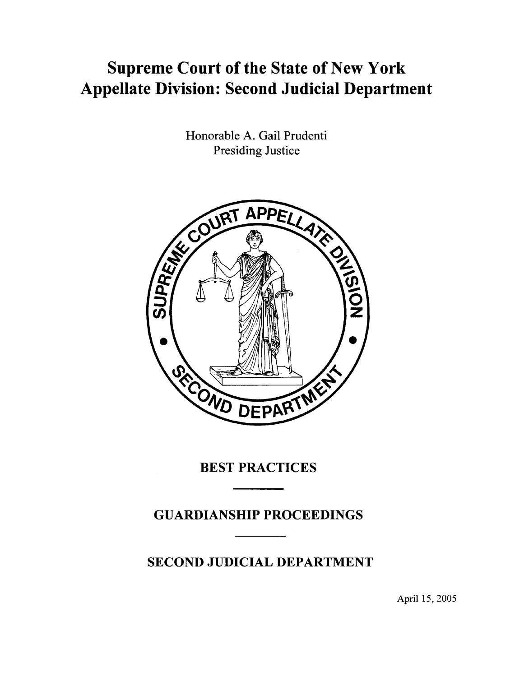## **Supreme Court** of the **State** of New **York Appellate Division: Second Judicial Department**

Honorable A. Gail Prudenti Presiding Justice



**BEST PRACTICES** 

**GUARDIANSHIP PROCEEDINGS** 

**SECOND JUDICIAL DEPARTMENT** 

April 15, 2005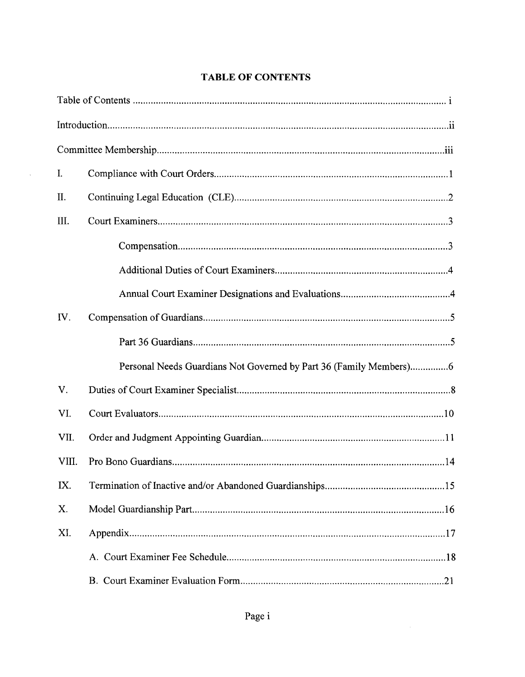| I.    |                                                                    |
|-------|--------------------------------------------------------------------|
| II.   |                                                                    |
| III.  |                                                                    |
|       |                                                                    |
|       |                                                                    |
|       |                                                                    |
| IV.   |                                                                    |
|       |                                                                    |
|       | Personal Needs Guardians Not Governed by Part 36 (Family Members)6 |
| V.    |                                                                    |
| VI.   |                                                                    |
| VII.  |                                                                    |
| VIII. |                                                                    |
| IX.   |                                                                    |
| X.    |                                                                    |
| XI.   |                                                                    |
|       |                                                                    |
|       |                                                                    |

 $\mathcal{L}(\mathcal{A})$  .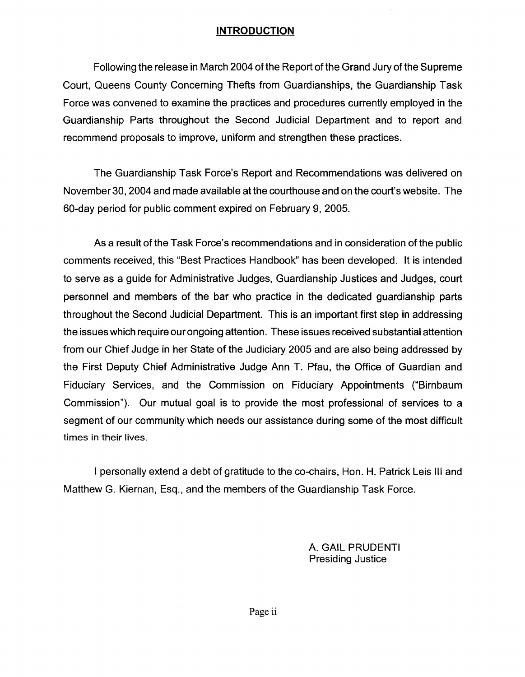## **INTRODUCTION**

Following the release in March 2004 of the Report of the Grand Jury of the Supreme Court, Queens County Concerning Thefts from Guardianships, the Guardianship Task Force was convened to examine the practices and procedures currently employed in the Guardianship Parts throughout the Second Judicial Department and to report and recommend proposals to improve, uniform and strengthen these practices.

The Guardianship Task Force's Report and Recommendations was delivered on November 30,2004 and made available at the courthouse and on the court's website. The 50-day period for public comment expired on February 9, 2005.

As a result of the Task Force's recommendations and in consideration of the public comments received, this "Best Practices Handbook" has been developed. It is intended to serve as a guide for Administrative Judges, Guardianship Justices and Judges, court personnel and members of the bar who practice in the dedicated guardianship parts throughout the Second Judicial Department. This is an important first step in addressing the issues which require our ongoing attention. These issues received substantial attention from our Chief Judge in her State of the Judiciary 2005 and are also being addressed by the First Deputy Chief Administrative Judge Ann T. Pfau, the Office of Guardian and Fiduciary Services, and the Commission on Fiduciary Appointments ("Birnbaum Commission"). Our mutual goal is to provide the most professional of services to a segment of our community which needs our assistance during some of the most difficult times in their lives.

I personally extend a debt of gratitude to the co-chairs, Hon. H. Patrick Leis III and Matthew G. Kiernan, Esq., and the members of the Guardianship Task Force.

> A. GAIL PRUDENTI Presiding Justice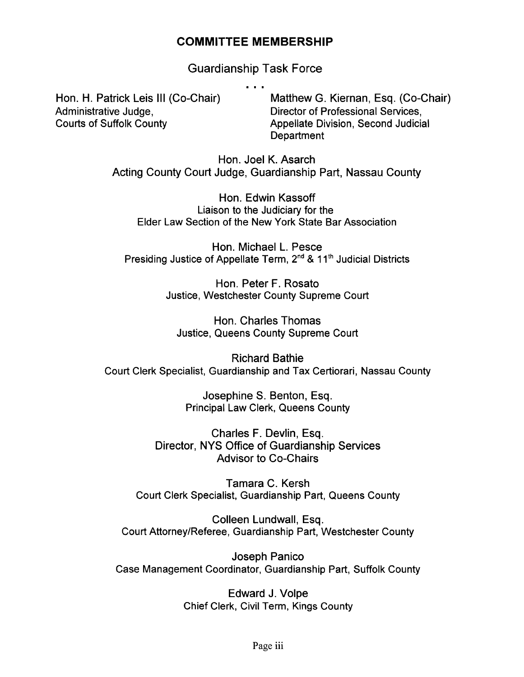## **COMMITTEE MEMBERSHIP**

Guardianship Task Force

Hon. H. Patrick Leis III (Co-Chair) Administrative Judge, Courts of Suffolk County

Matthew G. Kiernan, Esq. (Co-Chair) Director of Professional Services, Appellate Division, Second Judicial **Department** 

Hon. Joel K. Asarch Acting County Court Judge, Guardianship Part, Nassau County

Hon. Edwin Kassoff Liaison to the Judiciary for the Elder Law Section of the New York State Bar Association

Hon. Michael L. Pesce Presiding Justice of Appellate Term, 2<sup>nd</sup> & 11<sup>th</sup> Judicial Districts

> Hon. Peter F. Rosato Justice, Westchester County Supreme Court

Hon. Charles Thomas Justice, Queens County Supreme Court

Richard Bathie Court Clerk Specialist, Guardianship and Tax Certiorari, Nassau County

> Josephine S. Benton, Esq. Principal Law Clerk, Queens County

Charles F. Devlin, Esq. Director, NYS Office of Guardianship Services Advisor to Co-Chairs

Tamara C. Kersh Court Clerk Specialist, Guardianship Part, Queens County

Colleen Lundwall, Esq. Court Attorney/Referee, Guardianship Part, Westchester County

Joseph Panico Case Management Coordinator, Guardianship Part, Suffolk County

> Edward J. Volpe Chief Clerk, Civil Term, Kings County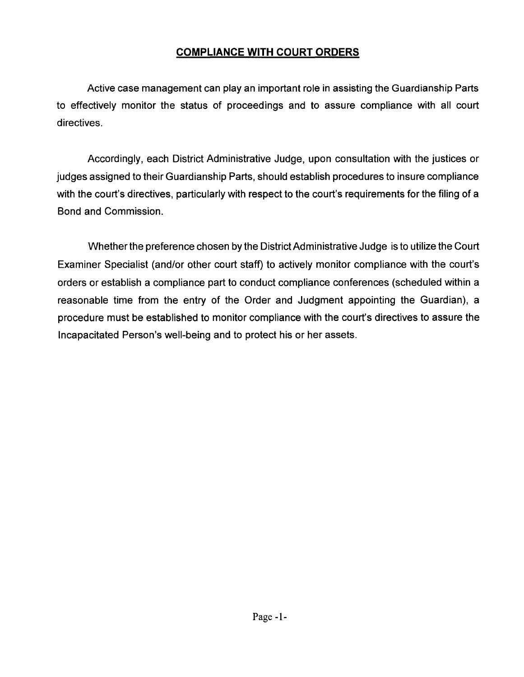## **COMPLIANCE WITH COURT ORDERS**

Active case management can play an important role in assisting the Guardianship Parts to effectively monitor the status of proceedings and to assure compliance with all court directives.

Accordingly, each District Administrative Judge, upon consultation with the justices or judges assigned to their Guardianship Parts, should establish procedures to insure compliance with the court's directives, particularly with respect to the court's requirements for the filing of a Bond and Commission.

Whether the preference chosen by the District Administrative Judge is to utilize the Court Examiner Specialist (and/or other court staff) to actively monitor compliance with the court's orders or establish a compliance part to conduct compliance conferences (scheduled within a reasonable time from the entry of the Order and Judgment appointing the Guardian), a procedure must be established to monitor compliance with the court's directives to assure the Incapacitated Person's well-being and to protect his or her assets.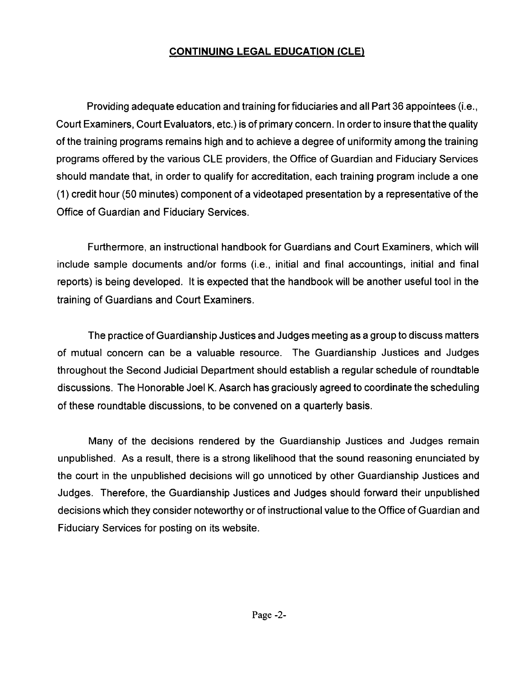## **CONTINUING LEGAL EDUCATION (CLE)**

Providing adequate education and training for fiduciaries and all Part 36 appointees (i.e., Court Examiners, Court Evaluators, etc.) is of primary concern. In order to insure that the quality of the training programs remains high and to achieve a degree of uniformity among the training programs offered by the various CLE providers, the Office of Guardian and Fiduciary Services should mandate that, in order to qualify for accreditation, each training program include a one (1) credit hour (50 minutes) component of a videotaped presentation by a representative of the Office of Guardian and Fiduciary Services.

Furthermore, an instructional handbook for Guardians and Court Examiners, which will include sample documents and/or forms (i.e., initial and final accountings, initial and final reports) is being developed. It is expected that the handbook will be another useful tool in the training of Guardians and Court Examiners.

The practice of Guardianship Justices and Judges meeting as a group to discuss matters of mutual concern can be a valuable resource. The Guardianship Justices and Judges throughout the Second Judicial Department should establish a regular schedule of roundtable discussions. The Honorable Joel K. Asarch has graciously agreed to coordinate the scheduling of these roundtable discussions, to be convened on a quarterly basis.

Many of the decisions rendered by the Guardianship Justices and Judges remain unpublished. As a result, there is a strong likelihood that the sound reasoning enunciated by the court in the unpublished decisions will go unnoticed by other Guardianship Justices and Judges. Therefore, the Guardianship Justices and Judges should forward their unpublished decisions which they consider noteworthy or of instructional value to the Office of Guardian and Fiduciary Services for posting on its website.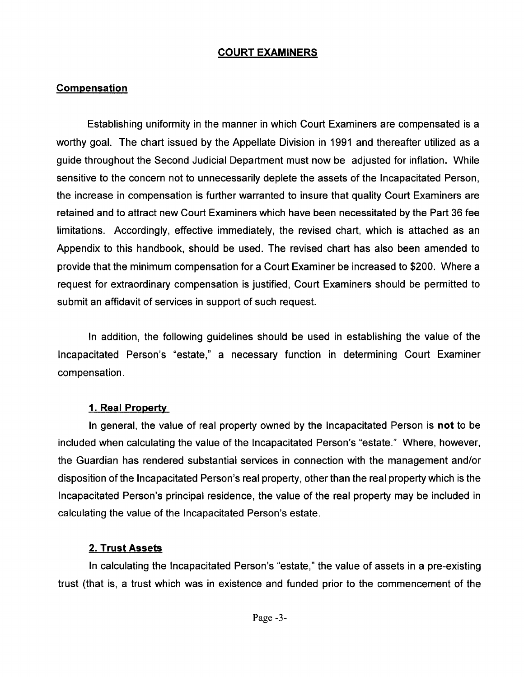## COURT EXAMINERS

## **Compensation**

Establishing uniformity in the manner in which Court Examiners are compensated is a worthy goal. The chart issued by the Appellate Division in 1991 and thereafter utilized as a guide throughout the Second Judicial Department must now be adjusted for inflation. While sensitive to the concern not to unnecessarily deplete the assets of the Incapacitated Person, the increase in compensation is further warranted to insure that quality Court Examiners are retained and to attract new Court Examiners which have been necessitated by the Part 36 fee limitations. Accordingly, effective immediately, the revised chart, which is attached as an Appendix to this handbook, should be used. The revised chart has also been amended to provide that the minimum compensation for a Court Examiner be increased to \$200. Where a request for extraordinary compensation is justified, Court Examiners should be permitted to submit an affidavit of services in support of such request.

In addition, the following guidelines should be used in establishing the value of the Incapacitated Person's "estate," a necessary function in determining Court Examiner compensation.

## 1. Real Property

In general, the value of real property owned by the Incapacitated Person is not to be included when calculating the value of the Incapacitated Person's "estate." Where, however, the Guardian has rendered substantial services in connection with the management and/or disposition of the Incapacitated Person's real property, other than the real property which is the Incapacitated Person's principal residence, the value of the real property may be included in calculating the value of the Incapacitated Person's estate.

## 2. Trust Assets

In calculating the Incapacitated Person's "estate," the value of assets in a pre-existing trust (that is, a trust which was in existence and funded prior to the commencement of the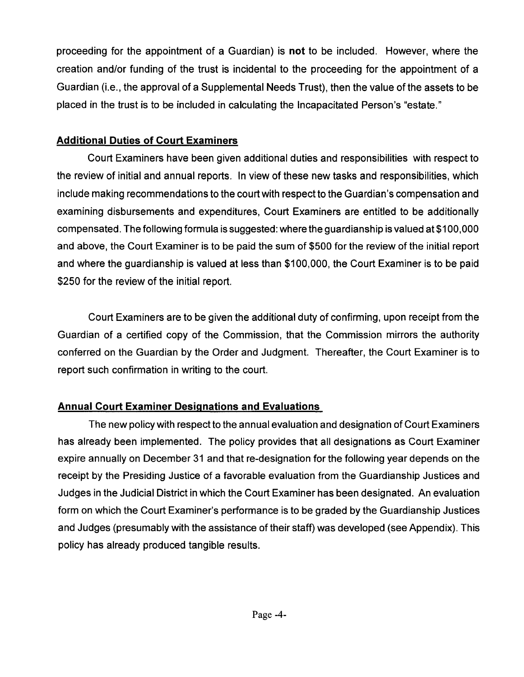proceeding for the appointment of a Guardian) is **not** to be included. However, where the creation and/or funding of the trust is incidental to the proceeding for the appointment of a Guardian (i.e., the approval of a Supplemental Needs Trust), then the value of the assets to be placed in the trust is to be included in calculating the Incapacitated Person's "estate."

## **Additional Duties of Court Examiners**

Court Examiners have been given additional duties and responsibilities with respect to the review of initial and annual reports. In view of these new tasks and responsibilities, which include making recommendations to the court with respect to the Guardian's compensation and examining disbursements and expenditures, Court Examiners are entitled to be additionally compensated. The following formula is suggested: where the guardianship is valued at \$1 00,000 and above, the Court Examiner is to be paid the sum of \$500 for the review of the initial report and where the guardianship is valued at less than \$100,000, the Court Examiner is to be paid \$250 for the review of the initial report.

Court Examiners are to be given the additional duty of confirming, upon receipt from the Guardian of a certified copy of the Commission, that the Commission mirrors the authority conferred on the Guardian by the Order and Judgment. Thereafter, the Court Examiner is to report such confirmation in writing to the court.

## **Annual Court Examiner Designations and Evaluations**

The new policy with respect to the annual evaluation and designation of Court Examiners has already been implemented. The policy provides that all designations as Court Examiner expire annually on December 31 and that re-designation for the following year depends on the receipt by the Presiding Justice of a favorable evaluation from the Guardianship Justices and Judges in the Judicial District in which the Court Examiner has been designated. An evaluation form on which the Court Examiner's performance is to be graded by the Guardianship Justices and Judges (presumably with the assistance of their staff) was developed (see Appendix). This policy has already produced tangible results.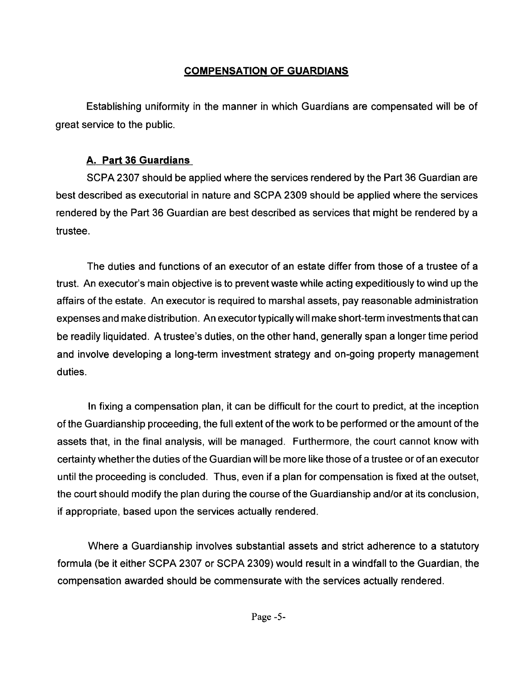## **COMPENSATION OF GUARDIANS**

Establishing uniformity in the manner in which Guardians are compensated will be of great service to the public.

## **A. Part 36 Guardians**

SCPA 2307 should be applied where the services rendered by the Part 36 Guardian are best described as executorial in nature and SCPA 2309 should be applied where the services rendered by the Part 36 Guardian are best described as services that might be rendered by a trustee.

The duties and functions of an executor of an estate differ from those of a trustee of a trust. An executor's main objective is to prevent waste while acting expeditiously to wind up the affairs of the estate. An executor is required to marshal assets, pay reasonable administration expenses and make distribution. An executor typically will make short-term investments that can be readily liquidated. A trustee's duties, on the other hand, generally span a longer time period and involve developing a long-term investment strategy and on-going property management duties.

In fixing a compensation plan, it can be difficult for the court to predict, at the inception of the Guardianship proceeding, the full extent of the work to be performed or the amount of the assets that, in the final analysis, will be managed. Furthermore, the court cannot know with certainty whether the duties of the Guardian will be more like those of a trustee or of an executor until the proceeding is concluded. Thus, even if a plan for compensation is fixed at the outset, the court should modify the plan during the course of the Guardianship and/or at its conclusion, if appropriate, based upon the services actually rendered.

Where a Guardianship involves substantial assets and strict adherence to a statutory formula (be it either SCPA 2307 or SCPA 2309) would result in a windfall to the Guardian, the compensation awarded should be commensurate with the services actually rendered.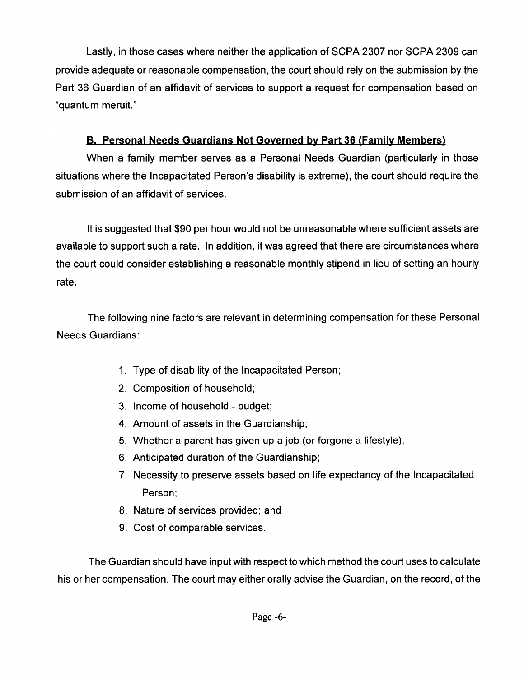Lastly, in those cases where neither the application of SCPA 2307 nor SCPA 2309 can provide adequate or reasonable compensation, the court should rely on the submission by the Part 36 Guardian of an affidavit of services to support a request for compensation based on "quantum meruit."

## **B. Personal Needs Guardians Not Governed by Part 36 (Family Members)**

When a family member serves as a Personal Needs Guardian (particularly in those situations where the Incapacitated Person's disability is extreme), the court should require the submission of an affidavit of services.

It is suggested that \$90 per hour would not be unreasonable where sufficient assets are available to support such a rate. In addition, it was agreed that there are circumstances where the court could consider establishing a reasonable monthly stipend in lieu of setting an hourly rate.

The following nine factors are relevant in determining compensation for these Personal Needs Guardians:

- 1. Type of disability of the Incapacitated Person;
- 2. Composition of household;
- 3. Income of household budget;
- 4. Amount of assets in the Guardianship;
- 5. Whether a parent has given up a job (or forgone a lifestyle);
- 6. Anticipated duration of the Guardianship;
- 7. Necessity to preserve assets based on life expectancy of the Incapacitated Person;
- 8. Nature of services provided; and
- 9. Cost of comparable services.

The Guardian should have input with respect to which method the court uses to calculate his or her compensation. The court may either orally advise the Guardian, on the record, of the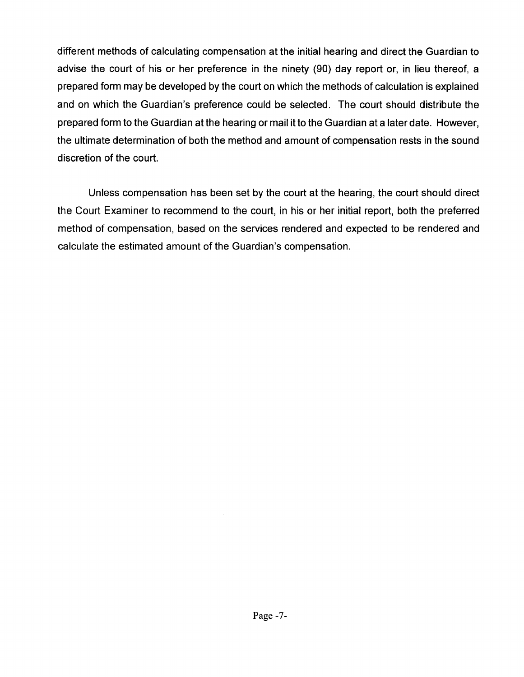different methods of calculating compensation at the initial hearing and direct the Guardian to advise the court of his or her preference in the ninety (90) day report or, in lieu thereof, a prepared form may be developed by the court on which the methods of calculation is explained and on which the Guardian's preference could be selected. The court should distribute the prepared form to the Guardian at the hearing or mail it to the Guardian at a later date. However, the ultimate determination of both the method and amount of compensation rests in the sound discretion of the court.

Unless compensation has been set by the court at the hearing, the court should direct the Court Examiner to recommend to the court, in his or her initial report, both the preferred method of compensation, based on the services rendered and expected to be rendered and calculate the estimated amount of the Guardian's compensation.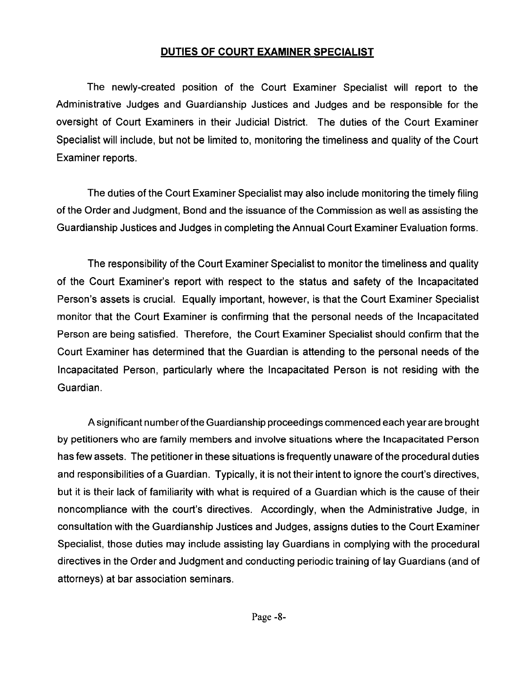## **DUTIES OF COURT EXAMINER SPECIALIST**

The newly-created position of the Court Examiner Specialist will report to the Administrative Judges and Guardianship Justices and Judges and be responsible for the oversight of Court Examiners in their Judicial District. The duties of the Court Examiner Specialist will include, but not be limited to, monitoring the timeliness and quality of the Court Examiner reports.

The duties of the Court Examiner Specialist may also include monitoring the timely filing of the Order and Judgment, Bond and the issuance of the Commission as well as assisting the Guardianship Justices and Judges in completing the Annual Court Examiner Evaluation forms.

The responsibility of the Court Examiner Specialist to monitor the timeliness and quality of the Court Examiner's report with respect to the status and safety of the Incapacitated Person's assets is crucial. Equally important, however, is that the Court Examiner Specialist monitor that the Court Examiner is confirming that the personal needs of the Incapacitated Person are being satisfied. Therefore, the Court Examiner Specialist should confirm that the Court Examiner has determined that the Guardian is attending to the personal needs of the Incapacitated Person, particularly where the Incapacitated Person is not residing with the Guardian.

A significant number of the Guardianship proceedings commenced each year are brought by petitioners who are family members and involve situations where the Incapacitated Person has few assets. The petitioner in these situations is frequently unaware of the procedural duties and responsibilities of a Guardian. Typically, it is not their intent to ignore the court's directives, but it is their lack of familiarity with what is required of a Guardian which is the cause of their noncompliance with the court's directives. Accordingly, when the Administrative Judge, in consultation with the Guardianship Justices and Judges, assigns duties to the Court Examiner Specialist, those duties may include assisting lay Guardians in complying with the procedural directives in the Order and Judgment and conducting periodic training of lay Guardians (and of attorneys) at bar association seminars.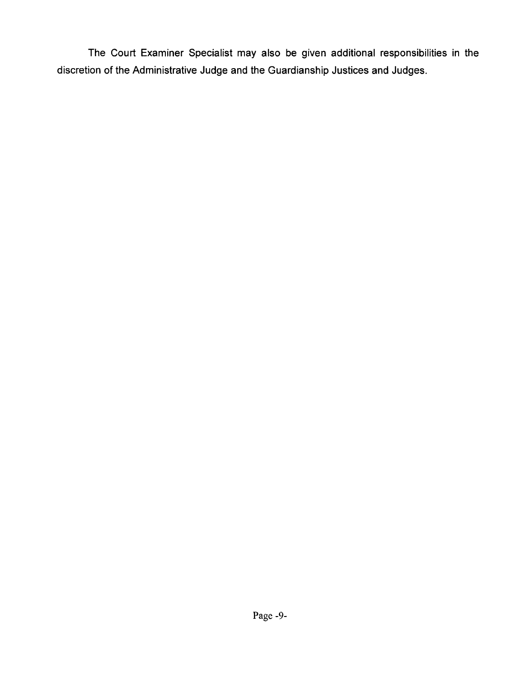The Court Examiner Specialist may also be given additional responsibilities in the discretion of the Administrative Judge and the Guardianship Justices and Judges.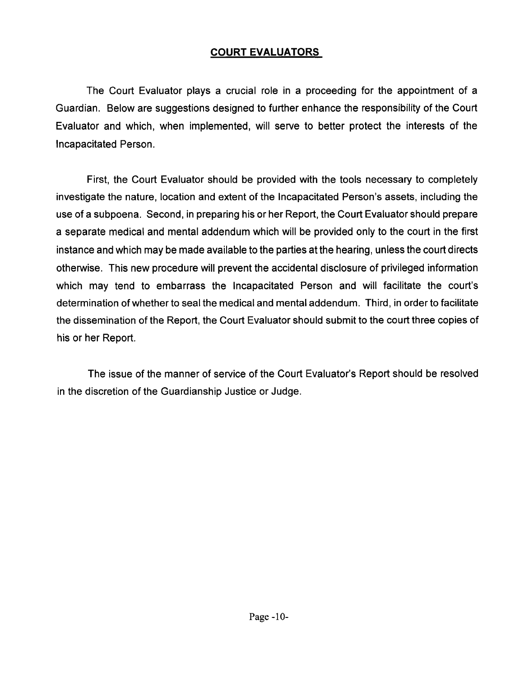## **COURT EVALUATORS**

The Court Evaluator plays a crucial role in a proceeding for the appointment of a Guardian. Below are suggestions designed to further enhance the responsibility of the Court Evaluator and which, when implemented, will serve to better protect the interests of the Incapacitated Person.

First, the Court Evaluator should be provided with the tools necessary to completely investigate the nature, location and extent of the Incapacitated Person's assets, including the use of a subpoena. Second, in preparing his or her Report, the Court Evaluator should prepare a separate medical and mental addendum which will be provided only to the court in the first instance and which may be made available to the parties at the hearing, unless the court directs otherwise. This new procedure will prevent the accidental disclosure of privileged information which may tend to embarrass the Incapacitated Person and will facilitate the court's determination of whether to seal the medical and mental addendum. Third, in order to facilitate the dissemination of the Report, the Court Evaluator should submit to the court three copies of his or her Report.

The issue of the manner of service of the Court Evaluator's Report should be resolved in the discretion of the Guardianship Justice or Judge.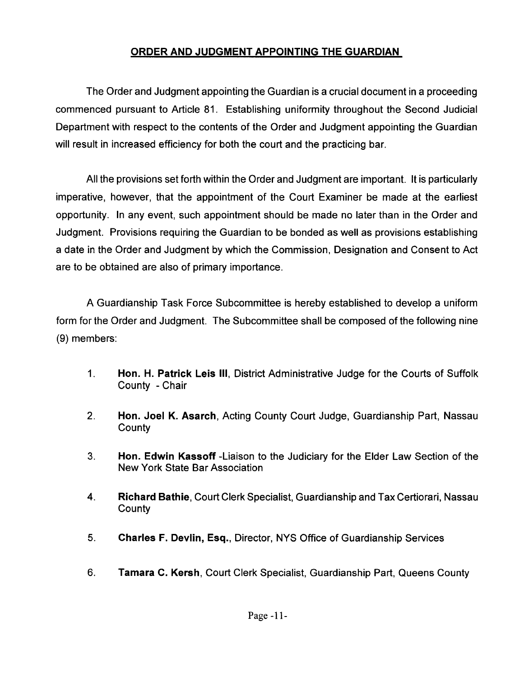## ORDER AND JUDGMENT APPOINTING THE GUARDIAN

The Order and Judgment appointing the Guardian is a crucial document in a proceeding commenced pursuant to Article 81. Establishing uniformity throughout the Second Judicial Department with respect to the contents of the Order and Judgment appointing the Guardian will result in increased efficiency for both the court and the practicing bar.

All the provisions set forth within the Order and Judgment are important. It is particularly imperative, however, that the appointment of the Court Examiner be made at the earliest opportunity. In any event, such appointment should be made no later than in the Order and Judgment. Provisions requiring the Guardian to be bonded as well as provisions establishing a date in the Order and Judgment by which the Commission, Designation and Consent to Act are to be obtained are also of primary importance.

A Guardianship Task Force Subcommittee is hereby established to develop a uniform form for the Order and Judgment. The Subcommittee shall be composed of the following nine (9) members:

- 1. Hon. H. Patrick Leis III, District Administrative Judge for the Courts of Suffolk County - Chair
- 2. Hon. Joel K. Asarch, Acting County Court Judge, Guardianship Part, Nassau **County**
- 3. Hon. Edwin Kassoff -Liaison to the Judiciary for the Elder Law Section of the New York State Bar Association
- 4. Richard Bathie, Court Clerk Specialist, Guardianship and Tax Certiorari, Nassau **County**
- 5. Charles F. Devlin, Esq., Director, NYS Office of Guardianship Services
- 6. Tamara C. Kersh, Court Clerk Specialist, Guardianship Part, Queens County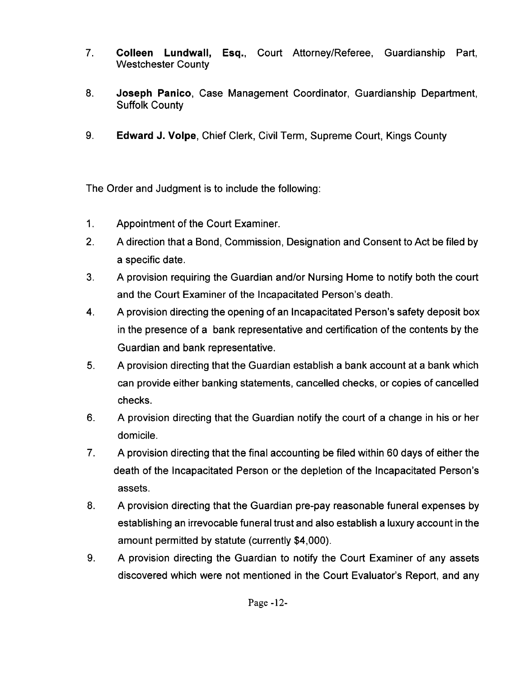- 7. Colleen Lundwall, Esq., Court Attorney/Referee, Guardianship Part, Westchester County
- 8. Joseph Panico, Case Management Coordinator, Guardianship Department, Suffolk County
- 9. Edward J. Volpe, Chief Clerk, Civil Term, Supreme Court, Kings County

The Order and Judgment is to include the following:

- 1. Appointment of the Court Examiner.
- 2. A direction that a Bond, Commission, Designation and Consent to Act be filed by a specific date.
- 3. A provision requiring the Guardian and/or Nursing Home to notify both the court and the Court Examiner of the Incapacitated Person's death.
- 4. A provision directing the opening of an Incapacitated Person's safety deposit box in the presence of a bank representative and certification of the contents by the Guardian and bank representative.
- 5. A provision directing that the Guardian establish a bank account at a bank which can provide either banking statements, cancelled checks, or copies of cancelled checks.
- 6. A provision directing that the Guardian notify the court of a change in his or her domicile.
- 7. A provision directing that the final accounting be filed within 60 days of either the death of the Incapacitated Person or the depletion of the Incapacitated Person's assets.
- 8. A provision directing that the Guardian pre-pay reasonable funeral expenses by establishing an irrevocable funeral trust and also establish a lUxury account in the amount permitted by statute (currently \$4,000).
- 9. A provision directing the Guardian to notify the Court Examiner of any assets discovered which were not mentioned in the Court Evaluator's Report, and any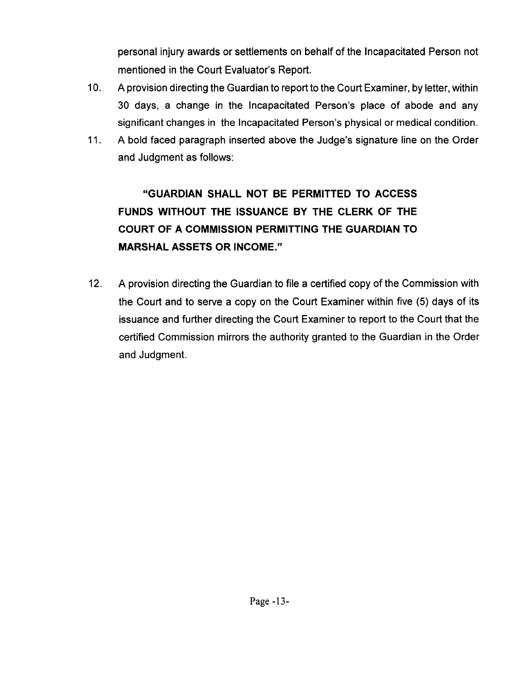personal injury awards or settlements on behalf of the Incapacitated Person not mentioned in the Court Evaluator's Report.

- 10. A provision directing the Guardian to report to the Court Examiner, by letter, within 30 days, a change in the Incapacitated Person's place of abode and any significant changes in the Incapacitated Person's physical or medical condition.
- 11. A bold faced paragraph inserted above the Judge's signature line on the Order and Judgment as follows:

## **"GUARDIAN SHALL NOT BE PERMITTED TO ACCESS FUNDS WITHOUT THE ISSUANCE BY THE CLERK OF THE COURT OF A COMMISSION PERMITTING THE GUARDIAN TO MARSHAL ASSETS OR INCOME."**

12. A provision directing the Guardian to file a certified copy of the Commission with the Court and to serve a copy on the Court Examiner within five (5) days of its issuance and further directing the Court Examiner to report to the Court that the certified Commission mirrors the authority granted to the Guardian in the Order and Judgment.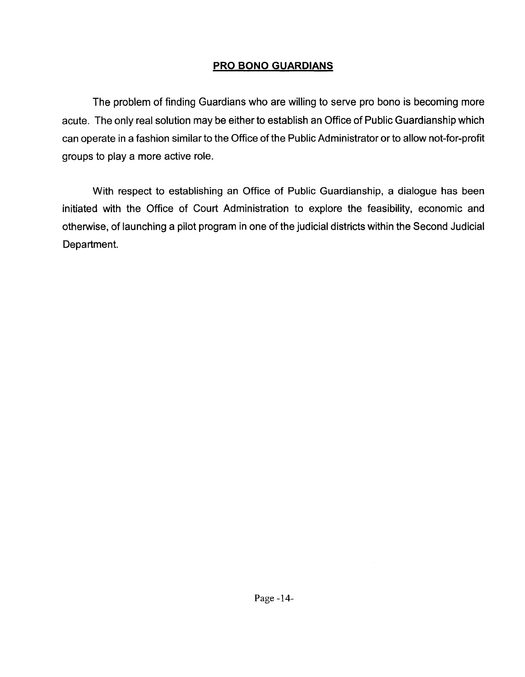## **PRO BONO GUARDIANS**

The problem of finding Guardians who are willing to serve pro bono is becoming more acute. The only real solution may be either to establish an Office of Public Guardianship which can operate in a fashion similar to the Office of the Public Administrator or to allow not-for-profit groups to play a more active role.

With respect to establishing an Office of Public Guardianship, a dialogue has been initiated with the Office of Court Administration to explore the feasibility, economic and otherwise, of launching a pilot program in one of the judicial districts within the Second Judicial Department.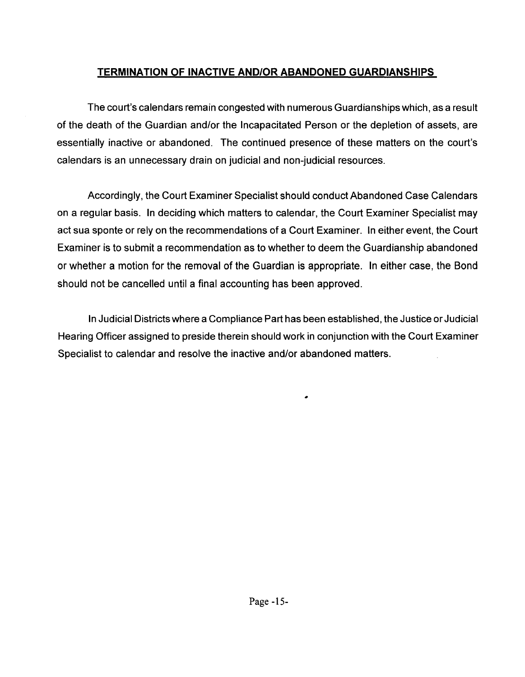## **TERMINATION OF INACTIVE AND/OR ABANDONED GUARDIANSHIPS**

The court's calendars remain congested with numerous Guardianships which, as a result of the death of the Guardian and/or the Incapacitated Person or the depletion of assets, are essentially inactive or abandoned. The continued presence of these matters on the court's calendars is an unnecessary drain on judicial and non-judicial resources.

Accordingly, the Court Examiner Specialist should conduct Abandoned Case Calendars on a regular basis. In deciding which matters to calendar, the Court Examiner Specialist may act sua sponte or rely on the recommendations of a Court Examiner. In either event, the Court Examiner is to submit a recommendation as to whether to deem the Guardianship abandoned or whether a motion for the removal of the Guardian is appropriate. In either case, the Bond should not be cancelled until a final accounting has been approved.

In Judicial Districts where a Compliance Part has been established, the Justice or Judicial Hearing Officer assigned to preside therein should work in conjunction with the Court Examiner Specialist to calendar and resolve the inactive and/or abandoned matters.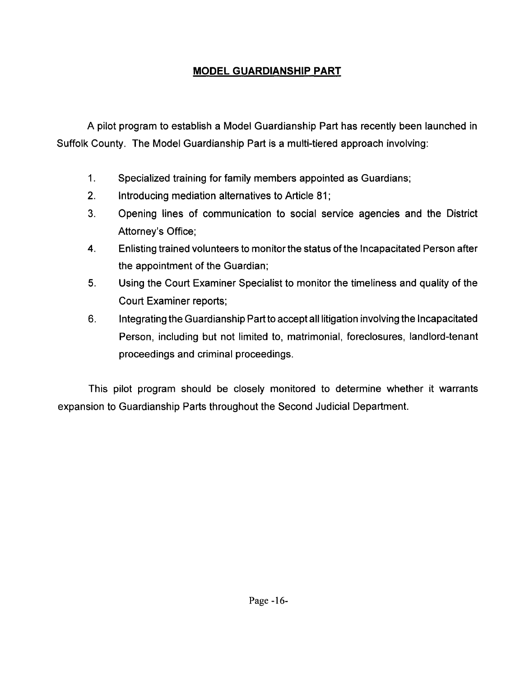## **MODEL GUARDIANSHIP PART**

A pilot program to establish a Model Guardianship Part has recently been launched in Suffolk County. The Model Guardianship Part is a multi-tiered approach involving:

- 1. Specialized training for family members appointed as Guardians;
- 2. Introducing mediation alternatives to Article 81;
- 3. Opening lines of communication to social service agencies and the District Attorney's Office;
- 4. Enlisting trained volunteers to monitor the status of the Incapacitated Person after the appointment of the Guardian;
- 5. Using the Court Examiner Specialist to monitor the timeliness and quality of the Court Examiner reports;
- 6. Integrating the Guardianship Part to accept all litigation involving the Incapacitated Person, including but not limited to, matrimonial, foreclosures, landlord-tenant proceedings and criminal proceedings.

This pilot program should be closely monitored to determine whether it warrants expansion to Guardianship Parts throughout the Second Judicial Department.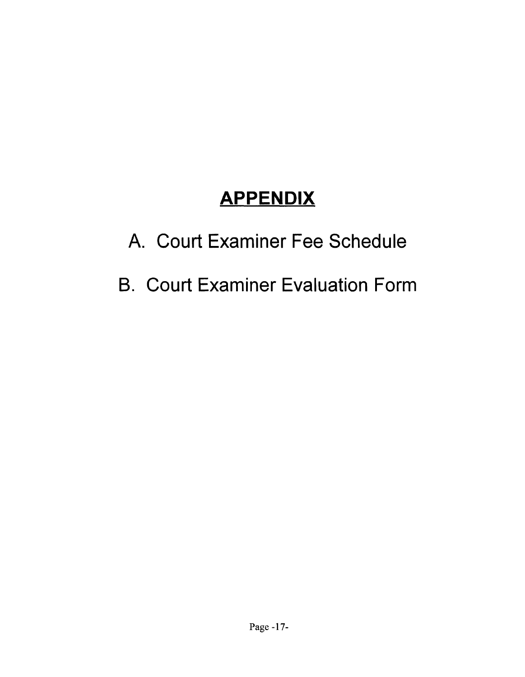# **APPENDIX**

# A. Court Examiner Fee Schedule

# B. Court Examiner Evaluation Form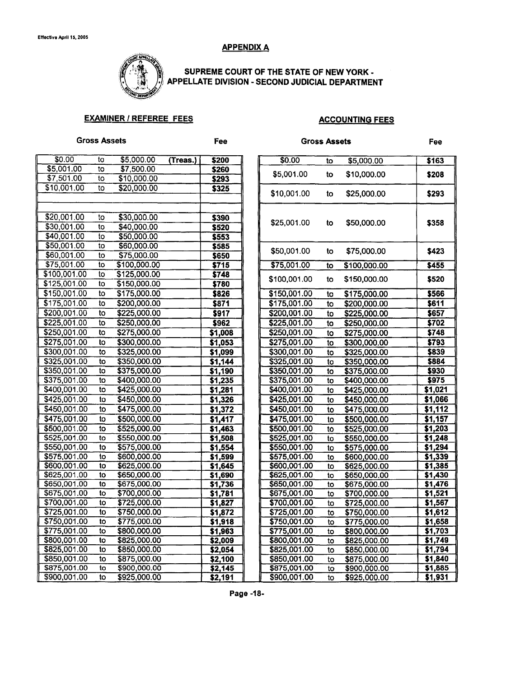### **APPENDIX A**



SUPREME COURT OF THE STATE OF NEW YORK -APPELLATE DIVISION - SECOND JUDICIAL DEPARTMENT

### EXAMINER / REFEREE FEES ACCOUNTING FEES

| <b>Gross Assets</b> |    |              |          | Fee     | <b>Gross Assets</b> |              |    |              | <b>Fee</b> |
|---------------------|----|--------------|----------|---------|---------------------|--------------|----|--------------|------------|
| \$0.00              | to | \$5,000.00   | (Treas.) | \$200   |                     | \$0.00       | to | \$5,000.00   | \$163      |
| \$5,001.00          | to | \$7,500.00   |          | \$260   |                     | \$5,001.00   |    |              |            |
| \$7,501.00          | to | \$10,000.00  |          | \$293   |                     |              | to | \$10,000.00  | \$208      |
| \$10,001.00         | to | \$20,000.00  |          | 5325    |                     | \$10,001.00  | to | \$25,000.00  | \$293      |
|                     |    |              |          |         |                     |              |    |              |            |
| \$20,001.00         | to | \$30,000.00  |          | \$390   |                     |              |    |              |            |
| \$30,001.00         | to | \$40,000.00  |          | \$520   |                     | \$25,001.00  | to | \$50,000.00  | \$358      |
| \$40,001.00         | to | \$50,000.00  |          | \$553   |                     |              |    |              |            |
| \$50,001.00         | to | \$60,000.00  |          | \$585   |                     |              |    |              |            |
| \$60,001.00         | to | \$75,000.00  |          | \$650   |                     | \$50,001.00  | to | \$75,000.00  | \$423      |
| \$75,001.00         | to | \$100,000.00 |          | 5715    |                     | \$75,001.00  | to | \$100,000.00 | \$455      |
| \$100,001.00        | to | \$125,000.00 |          | \$748   |                     |              |    |              |            |
| \$125,001.00        | to | \$150,000.00 |          | \$780   |                     | \$100,001.00 | to | \$150,000.00 | \$520      |
| \$150,001.00        | to | \$175,000.00 |          | \$826   |                     | \$150,001.00 | to | \$175,000.00 | \$566      |
| \$175,001.00        | to | \$200,000.00 |          | 5871    |                     | \$175,001.00 | to | \$200,000.00 | \$611      |
| \$200,001.00        | to | \$225,000.00 |          | 5917    |                     | \$200,001.00 | to | \$225,000.00 | \$657      |
| \$225,001.00        | to | \$250,000.00 |          | \$962   |                     | \$225,001.00 | to | \$250,000.00 | \$702      |
| \$250,001.00        | to | \$275,000.00 |          | \$1,008 |                     | \$250,001.00 | to | \$275,000.00 | \$748      |
| \$275,001.00        | to | \$300,000.00 |          | \$1,053 |                     | \$275,001.00 | to | \$300,000.00 | \$793      |
| \$300,001.00        | to | \$325,000.00 |          | \$1,099 |                     | \$300,001.00 | to | \$325,000.00 | \$839      |
| \$325,001.00        | to | \$350,000.00 |          | \$1,144 |                     | \$325,001.00 | to | \$350,000.00 | \$884      |
| \$350,001.00        | to | \$375,000.00 |          | \$1,190 |                     | \$350,001.00 | to | \$375,000.00 | \$930      |
| \$375,001.00        | to | \$400,000.00 |          | 51,235  |                     | \$375,001.00 | to | \$400,000.00 | \$975      |
| \$400,001.00        | to | \$425,000.00 |          | 51,281  |                     | \$400,001.00 | to | \$425,000.00 | \$1,021    |
| \$425,001.00        | to | \$450,000.00 |          | 51,326  |                     | \$425,001.00 | to | \$450,000.00 | \$1,066    |
| \$450,001.00        | to | \$475,000.00 |          | \$1,372 |                     | \$450,001.00 | to | \$475,000.00 | \$1,112    |
| \$475,001.00        | to | \$500,000.00 |          | 51,417  |                     | \$475,001.00 | to | \$500,000.00 | \$1,157    |
| \$500,001.00        | to | \$525,000.00 |          | \$1,463 |                     | \$500,001.00 | to | \$525,000.00 | \$1,203    |
| \$525,001.00        | to | \$550,000.00 |          | \$1,508 |                     | \$525,001.00 | to | \$550,000.00 | \$1,248    |
| \$550,001.00        | to | \$575,000.00 |          | \$1,554 |                     | \$550,001.00 | to | \$575,000.00 | 51,294     |
| \$575,001.00        | to | \$600,000.00 |          | 51,599  |                     | \$575,001.00 | to | \$600,000.00 | 51,339     |
| \$600,001.00        | to | \$625,000.00 |          | \$1,645 |                     | \$600,001.00 | to | \$625,000.00 | \$1,385    |
| \$625,001.00        | to | \$650,000.00 |          | \$1,690 |                     | \$625,001.00 | to | \$650,000.00 | \$1,430    |
| \$650,001.00        | to | \$675,000.00 |          | 51,736  |                     | \$650,001.00 | to | \$675,000.00 | \$1,476    |
| \$675,001.00        | to | \$700,000.00 |          | \$1,781 |                     | \$675,001.00 | to | \$700,000.00 | 51,521     |
| \$700,001.00        | to | \$725,000.00 |          | 51,827  |                     | \$700,001.00 | to | \$725,000.00 | \$1,567    |
| \$725,001.00        | to | \$750,000.00 |          | 51,872  |                     | \$725,001.00 | to | \$750,000.00 | 51,612     |
| \$750,001.00        | to | \$775,000.00 |          | 51,918  |                     | \$750,001.00 | to | \$775,000.00 | \$1,658    |
| \$775,001.00        | to | \$800,000.00 |          | \$1,963 |                     | \$775,001.00 | to | \$800,000.00 | 51,703     |
| \$800,001.00        | to | \$825,000.00 |          | \$2,009 |                     | \$800,001.00 | to | \$825,000.00 | \$1,749    |
| \$825,001.00        | to | \$850,000.00 |          | 52,054  |                     | \$825,001.00 | to | \$850,000.00 | \$1,794    |
| \$850,001.00        | to | \$875,000.00 |          | \$2,100 |                     | \$850,001.00 | to | \$875,000.00 | \$1,840    |
| \$875,001.00        | to | \$900,000.00 |          | \$2,145 |                     | \$875,001.00 | to | \$900,000.00 | \$1,885    |
| \$900,001.00        | to | \$925,000.00 |          | \$2,191 |                     | \$900,001.00 | to | \$925,000.00 | \$1,931    |

Page -18-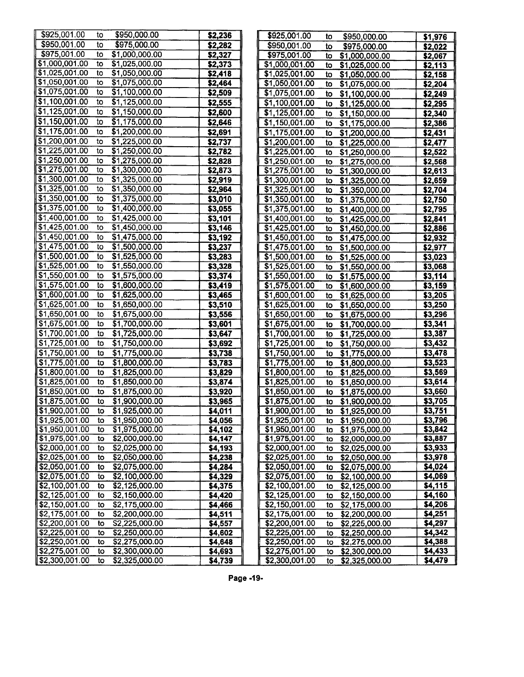| \$925,001.00<br>\$950,000.00<br>to                | \$2,236 | \$925,001.00<br>to<br>\$950,000.00     | \$1,976 |
|---------------------------------------------------|---------|----------------------------------------|---------|
| \$950,001.00<br>\$975,000.00<br>to                | \$2,282 | \$950,001.00<br>\$975,000.00<br>to     | \$2,022 |
| \$975,001.00<br>\$1,000,000.00<br>to              | \$2,327 | \$975,001.00<br>\$1,000,000.00<br>to   | \$2,067 |
| \$1,000,001.00<br>\$1,025,000.00<br>to            | \$2,373 | \$1,000,001.00<br>\$1,025,000.00<br>to | \$2,113 |
| \$1,025,001.00<br>\$1,050,000.00<br>to            | \$2,418 | \$1,025,001.00<br>to<br>\$1,050,000.00 | \$2,158 |
| \$1,050,001.00<br>\$1,075,000.00<br>to            | \$2,464 | \$1,050,001.00<br>to<br>\$1,075,000.00 | \$2,204 |
| \$1,075,001.00<br>\$1,100,000.00<br>to            | \$2,509 | \$1,075,001.00<br>\$1,100,000.00<br>to | \$2,249 |
| \$1,100,001.00<br>\$1,125,000.00<br>to            | \$2,555 | \$1,100,001.00<br>\$1,125,000.00<br>to | \$2,295 |
| \$1,125,001.00<br>\$1,150,000.00<br>to            | \$2,600 | \$1,125,001.00<br>\$1,150,000.00<br>to | \$2,340 |
| \$1,150,001.00<br>\$1,175,000.00<br>to            | \$2,646 | \$1,150,001.00<br>\$1,175,000.00<br>to | \$2,386 |
| \$1,175,001.00<br>\$1,200,000.00<br>to            | \$2,691 | \$1,175,001.00<br>\$1,200,000.00<br>to | \$2,431 |
| \$1,200,001.00<br>\$1,225,000.00<br>to            | \$2,737 | \$1,200,001.00<br>\$1,225,000.00<br>to | \$2,477 |
| \$1,225,001.00<br>to<br>\$1,250,000.00            | \$2,782 | \$1,225,001.00<br>\$1,250,000.00<br>to | \$2,522 |
| \$1,250,001.00<br>\$1,275,000.00<br>to            | \$2,828 | \$1,250,001.00<br>to<br>\$1,275,000.00 | \$2,568 |
| \$1,275,001.00<br>\$1,300,000.00<br>to            | \$2,873 | \$1,275,001.00<br>to<br>\$1,300,000.00 | \$2,613 |
| \$1,300,001.00<br>\$1,325,000.00<br>to            | \$2,919 | \$1,300,001.00<br>to<br>\$1,325,000.00 | \$2,659 |
| \$1,325,001.00<br>\$1,350,000.00<br>to            | \$2,964 | \$1,325,001.00<br>\$1,350,000.00<br>to | \$2,704 |
| \$1,350,001.00<br>\$1,375,000.00<br>to            | \$3,010 | \$1,350,001.00<br>to<br>\$1,375,000.00 | \$2,750 |
| \$1,375,001.00<br>\$1,400,000.00<br>to            | \$3,055 | \$1,375,001.00<br>\$1,400,000.00<br>to | \$2,795 |
| \$1,400,001.00<br>\$1,425,000.00<br>to            | \$3,101 | \$1,400,001.00<br>\$1,425,000.00<br>to | \$2,841 |
| \$1,425,001.00<br>to<br>\$1,450,000.00            | \$3,146 | \$1,425,001.00<br>to<br>\$1,450,000.00 | \$2,886 |
| \$1,450,001.00<br>\$1,475,000.00<br>to            | \$3,192 | \$1,450,001.00<br>\$1,475,000.00<br>to | \$2,932 |
| \$1,475,001.00<br>\$1,500,000.00<br>to            | \$3,237 | \$1,475,001.00<br>\$1,500,000.00<br>to | \$2,977 |
| \$1,500,001.00<br>\$1,525,000.00<br>to            | \$3,283 | \$1,500,001.00<br>\$1,525,000.00<br>to | \$3,023 |
| \$1,525,001.00<br>\$1,550,000.00<br>to            | \$3,328 | \$1,525,001.00<br>\$1,550,000.00<br>to | \$3,068 |
| \$1,550,001.00<br>$\overline{1,575,000.00}$<br>to | \$3,374 | \$1,550,001.00<br>\$1,575,000.00<br>to | \$3,114 |
| \$1,575,001.00<br>\$1,600,000.00<br>to            | \$3,419 | \$1,575,001.00<br>\$1,600,000.00<br>to | \$3,159 |
| \$1,600,001.00<br>\$1,625,000.00<br>to            | \$3,465 | \$1,600,001.00<br>\$1,625,000.00<br>to | \$3,205 |
| \$1,625,001.00<br>to<br>\$1,650,000.00            | \$3,510 | \$1,625,001.00<br>\$1,650,000.00<br>to | \$3,250 |
| \$1,650,001.00<br>\$1,675,000.00<br>to            | \$3,556 | \$1,650,001.00<br>\$1,675,000.00<br>to | \$3,296 |
| \$1,675,001.00<br>\$1,700,000.00<br>to            | \$3,601 | \$1,675,001.00<br>\$1,700,000.00<br>to | \$3,341 |
| \$1,700,001.00<br>\$1,725,000.00<br>to            | \$3,647 | \$1,700,001.00<br>\$1,725,000.00<br>to | \$3,387 |
| \$1,725,001.00<br>\$1,750,000.00<br>to            | \$3,692 | \$1,725,001.00<br>\$1,750,000.00<br>to | \$3,432 |
| \$1,750,001.00<br>\$1,775,000.00<br>to            | \$3,738 | \$1,750,001.00<br>\$1,775,000.00<br>to | \$3,478 |
| \$1,775,001.00<br>\$1,800,000.00<br>to            | \$3,783 | \$1,775,001.00<br>\$1,800,000.00<br>to | \$3,523 |
| \$1,800,001.00<br>\$1,825,000.00<br>to            | \$3,829 | \$1,800,001.00<br>\$1,825,000.00<br>to | \$3,569 |
| \$1,825,001.00<br>\$1,850,000.00<br>to            | \$3,874 | \$1,825,001.00<br>to<br>\$1,850,000.00 | \$3,614 |
| \$1,850,001.00<br>\$1,875,000.00<br>to            | \$3,920 | \$1,850,001.00<br>\$1,875,000.00<br>to | \$3,660 |
| \$1,875,001.00<br>\$1,900,000.00<br>to            | \$3,965 | \$1,875,001.00<br>\$1,900,000.00<br>to | \$3,705 |
| \$1,900,001.00<br>\$1,925,000.00<br>to            | \$4,011 | \$1,900,001.00<br>\$1,925,000.00<br>to | \$3,751 |
| \$1,925,001.00<br>\$1,950,000.00<br>to            | \$4,056 | \$1,925,001.00<br>\$1,950,000.00<br>to | \$3,796 |
| 51,950,001.00<br>\$1,975,000.00<br>to             | \$4,102 | \$1,950,001.00<br>\$1,975,000.00<br>to | \$3,842 |
| \$1,975,001.00<br>\$2,000,000.00<br>to            | \$4,147 | \$1,975,001.00<br>\$2,000,000.00<br>to | \$3,887 |
| \$2,000,001.00<br>\$2,025,000.00<br>to            | \$4,193 | \$2,000,001.00<br>\$2,025,000.00<br>to | \$3,933 |
| 82,025,001.00<br>\$2,050,000.00<br>to             | \$4,238 | \$2,025,001.00<br>\$2,050,000.00<br>to | \$3,978 |
| \$2,050,001.00<br>\$2,075,000.00<br>to            | \$4,284 | \$2,050,001.00<br>\$2,075,000.00<br>to | \$4,024 |
| \$2,075,001.00<br>\$2,100,000.00<br>to            | \$4,329 | \$2,075,001.00<br>\$2,100,000.00<br>to | \$4,069 |
| \$2,100,001.00<br>\$2,125,000.00<br>to            | \$4,375 | \$2,100,001.00<br>\$2,125,000.00<br>to | \$4,115 |
| \$2,125,001.00<br>\$2,150,000.00<br>to            | \$4,420 | \$2,125,001.00<br>\$2,150,000.00<br>to | \$4,160 |
| \$2,150,001.00<br>\$2,175,000.00<br>to            | \$4,466 | \$2,150,001.00<br>\$2,175,000.00<br>to | \$4,206 |
| \$2,175,001.00<br>\$2,200,000.00<br>to            | \$4,511 | \$2,175,001.00<br>\$2,200,000.00<br>to | \$4,251 |
| \$2,200,001.00<br>\$2,225,000.00<br>to            | \$4,557 | \$2,200,001.00<br>\$2,225,000.00<br>to | \$4,297 |
| \$2,225,001.00<br>\$2,250,000.00<br>to            | \$4,602 | \$2,225,001.00<br>\$2,250,000.00<br>to | \$4,342 |
| \$2,250,001.00<br>\$2,275,000.00<br>to            | \$4,648 | \$2,250,001.00<br>\$2,275,000.00<br>to | \$4,388 |
| \$2,275,001.00<br>\$2,300,000.00<br>to            | \$4,693 | \$2,275,001.00<br>\$2,300,000.00<br>to | \$4,433 |
| \$2,300,001.00<br>\$2,325,000.00<br>to            | \$4,739 | \$2,300,001.00<br>\$2,325,000.00<br>to | \$4,479 |

Page -19-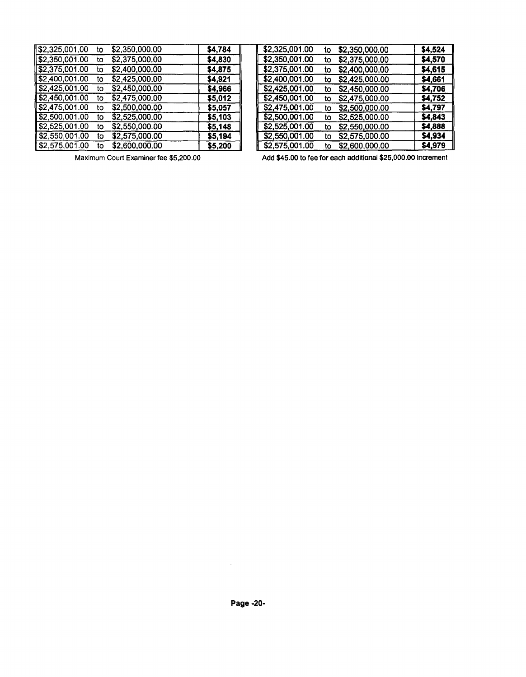| 82,325,001.00                | to | \$2,350,000.00 | \$4,784 | \$2,325,001.00 | to | \$2,350,000.00 | \$4,524 |
|------------------------------|----|----------------|---------|----------------|----|----------------|---------|
| $\parallel$ \$2,350,001.00   | to | \$2,375,000.00 | \$4,830 | \$2,350,001.00 | to | \$2,375,000.00 | \$4,570 |
| 52,375,001.00                | to | \$2,400,000.00 | \$4,875 | \$2,375,001.00 | to | \$2,400,000.00 | \$4,615 |
| \$2,400,001.00               | to | \$2,425,000.00 | \$4,921 | \$2,400,001.00 | to | \$2,425,000.00 | \$4,661 |
| \$2,425,001.00               | τo | \$2,450,000.00 | \$4,966 | \$2,425,001.00 | to | \$2,450,000.00 | \$4,706 |
| \$2,450,001.00               | to | \$2,475,000.00 | \$5,012 | \$2,450,001.00 | to | \$2,475,000.00 | \$4,752 |
| \$2,475,001.00               | to | \$2,500,000.00 | \$5,057 | \$2,475,001.00 | to | \$2,500,000.00 | \$4,797 |
| ∥\$2,500,001.00              | to | \$2,525,000.00 | \$5,103 | \$2,500,001.00 | to | \$2,525,000.00 | \$4,843 |
| $\frac{1}{2}$ \$2,525,001.00 | to | \$2,550,000.00 | \$5,148 | \$2,525,001.00 | to | \$2,550,000.00 | \$4,888 |
| $\frac{1}{2}$ \$2,550,001.00 | to | \$2,575,000.00 | \$5,194 | \$2,550,001.00 | to | \$2,575,000.00 | \$4,934 |
| $1$ \$2,575,001.00           | tΟ | \$2,600,000.00 | \$5,200 | \$2,575,001.00 | to | \$2,600,000.00 | \$4,979 |

| \$2,325,001.00 | to | \$2,350,000.00 | \$4,784 | \$2,325,001.00 | to | \$2,350,000.00 | \$4,524 |
|----------------|----|----------------|---------|----------------|----|----------------|---------|
| \$2,350,001.00 | to | \$2,375,000.00 | \$4,830 | \$2,350,001.00 | to | \$2,375,000.00 | \$4,570 |
| \$2,375,001.00 | to | \$2,400,000.00 | \$4,875 | \$2,375,001.00 | to | \$2,400,000.00 | \$4,615 |
| \$2,400,001.00 | to | \$2,425,000.00 | \$4,921 | \$2,400,001.00 | to | \$2,425,000.00 | \$4,661 |
| \$2,425,001.00 | τo | \$2,450,000.00 | \$4,966 | \$2,425,001.00 | to | \$2,450,000.00 | \$4,706 |
| \$2,450,001.00 | 10 | \$2,475,000.00 | \$5,012 | \$2,450,001.00 | tο | \$2,475,000.00 | \$4,752 |
| \$2,475,001.00 | to | \$2,500,000.00 | \$5,057 | \$2,475,001.00 | to | \$2,500,000.00 | \$4,797 |
| \$2,500,001.00 | tο | \$2,525,000.00 | \$5,103 | \$2,500,001.00 | to | \$2,525,000.00 | \$4,843 |
| \$2,525,001.00 | to | \$2,550,000.00 | \$5,148 | \$2,525,001.00 | to | \$2,550,000.00 | \$4,888 |
| \$2,550,001.00 | īΟ | \$2,575,000.00 | \$5,194 | \$2,550,001.00 | to | \$2,575,000.00 | \$4,934 |
| \$2,575,001.00 | tο | \$2,600,000.00 | \$5,200 | \$2,575,001.00 | to | \$2,600,000.00 | \$4,979 |
|                |    |                |         |                |    |                |         |

Maximum Court Examiner fee \$5,200.00 Add \$45.00 to fee for each additional \$25,000.00 increment

 $\mathcal{A}^{\mathrm{c}}$  ,  $\mathcal{A}^{\mathrm{c}}$